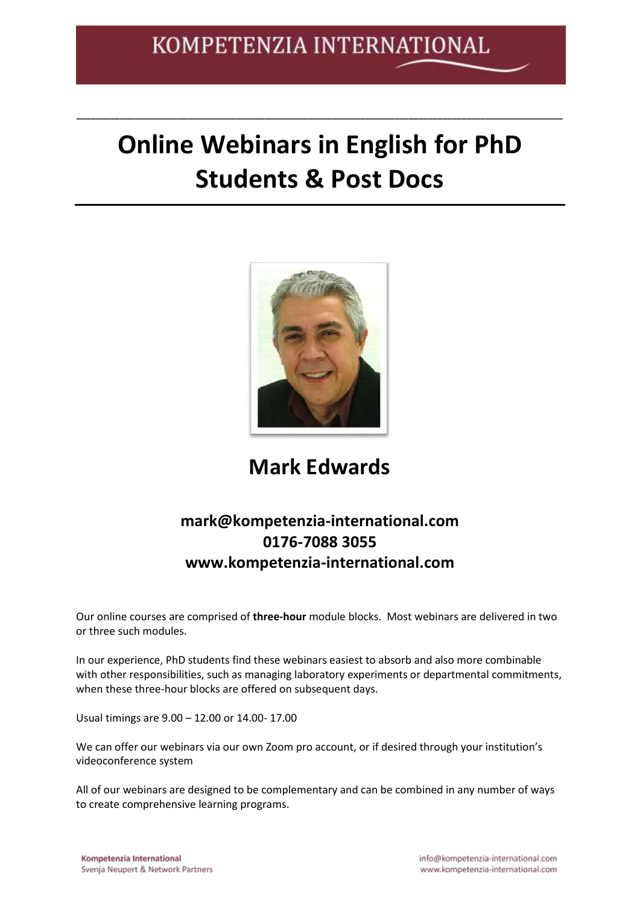# **Online Webinars in English for PhD Students & Post Docs**

**\_\_\_\_\_\_\_\_\_\_\_\_\_\_\_\_\_\_\_\_\_\_\_\_\_\_\_\_\_\_\_\_\_\_\_\_\_\_\_\_\_\_\_\_\_\_\_\_\_\_\_\_\_\_\_\_\_\_\_\_\_\_\_\_\_\_\_\_\_\_\_\_\_\_\_\_\_\_\_\_\_\_\_\_\_\_\_\_\_\_\_\_\_\_\_\_\_\_\_\_\_**



## **Mark Edwards**

## **mark@kompetenzia-international.com 0176-7088 3055 www.kompetenzia-international.com**

Our online courses are comprised of **three-hour** module blocks. Most webinars are delivered in two or three such modules.

In our experience, PhD students find these webinars easiest to absorb and also more combinable with other responsibilities, such as managing laboratory experiments or departmental commitments, when these three-hour blocks are offered on subsequent days.

Usual timings are 9.00 – 12.00 or 14.00- 17.00

We can offer our webinars via our own Zoom pro account, or if desired through your institution's videoconference system

All of our webinars are designed to be complementary and can be combined in any number of ways to create comprehensive learning programs.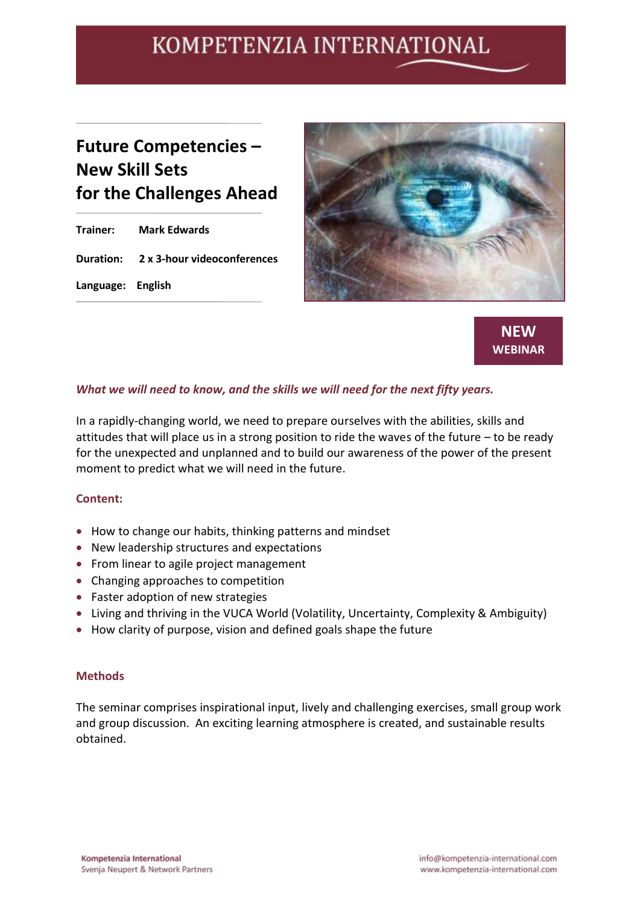## **Future Competencies – New Skill Sets for the Challenges Ahead**

**Trainer: Mark Edwards Duration: 2 x 3-hour videoconferences Language: English**





#### *What we will need to know, and the skills we will need for the next fifty years.*

In a rapidly-changing world, we need to prepare ourselves with the abilities, skills and attitudes that will place us in a strong position to ride the waves of the future – to be ready for the unexpected and unplanned and to build our awareness of the power of the present moment to predict what we will need in the future.

#### **Content:**

- How to change our habits, thinking patterns and mindset
- New leadership structures and expectations
- From linear to agile project management
- Changing approaches to competition
- Faster adoption of new strategies
- Living and thriving in the VUCA World (Volatility, Uncertainty, Complexity & Ambiguity)
- How clarity of purpose, vision and defined goals shape the future

#### **Methods**

The seminar comprises inspirational input, lively and challenging exercises, small group work and group discussion. An exciting learning atmosphere is created, and sustainable results obtained.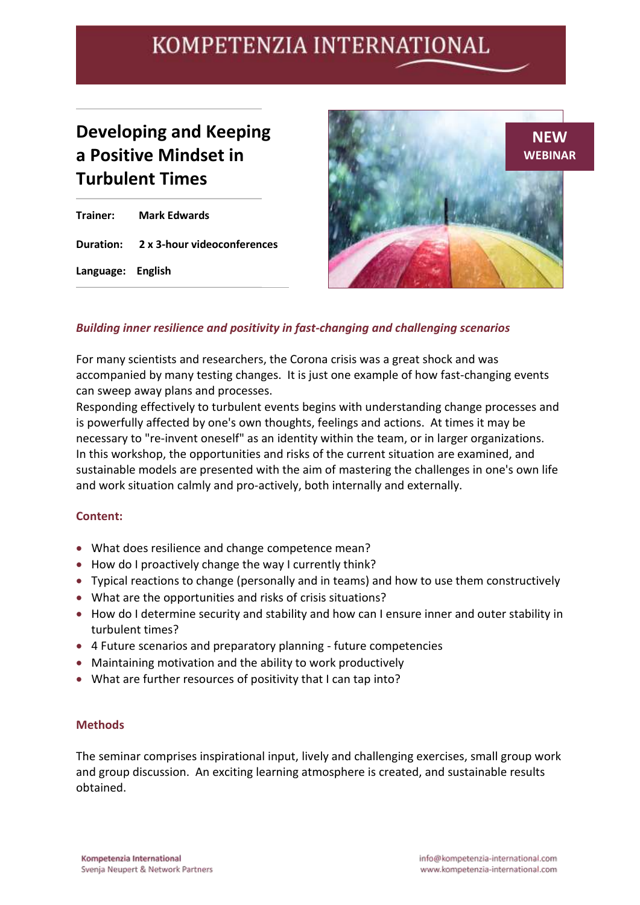## **Developing and Keeping a Positive Mindset in Turbulent Times**

**Trainer: Mark Edwards Duration: 2 x 3-hour videoconferences Language: English**



### *Building inner resilience and positivity in fast-changing and challenging scenarios*

For many scientists and researchers, the Corona crisis was a great shock and was accompanied by many testing changes. It is just one example of how fast-changing events can sweep away plans and processes.

Responding effectively to turbulent events begins with understanding change processes and is powerfully affected by one's own thoughts, feelings and actions. At times it may be necessary to "re-invent oneself" as an identity within the team, or in larger organizations. In this workshop, the opportunities and risks of the current situation are examined, and sustainable models are presented with the aim of mastering the challenges in one's own life and work situation calmly and pro-actively, both internally and externally.

#### **Content:**

- What does resilience and change competence mean?
- How do I proactively change the way I currently think?
- Typical reactions to change (personally and in teams) and how to use them constructively
- What are the opportunities and risks of crisis situations?
- How do I determine security and stability and how can I ensure inner and outer stability in turbulent times?
- 4 Future scenarios and preparatory planning future competencies
- Maintaining motivation and the ability to work productively
- What are further resources of positivity that I can tap into?

#### **Methods**

The seminar comprises inspirational input, lively and challenging exercises, small group work and group discussion. An exciting learning atmosphere is created, and sustainable results obtained.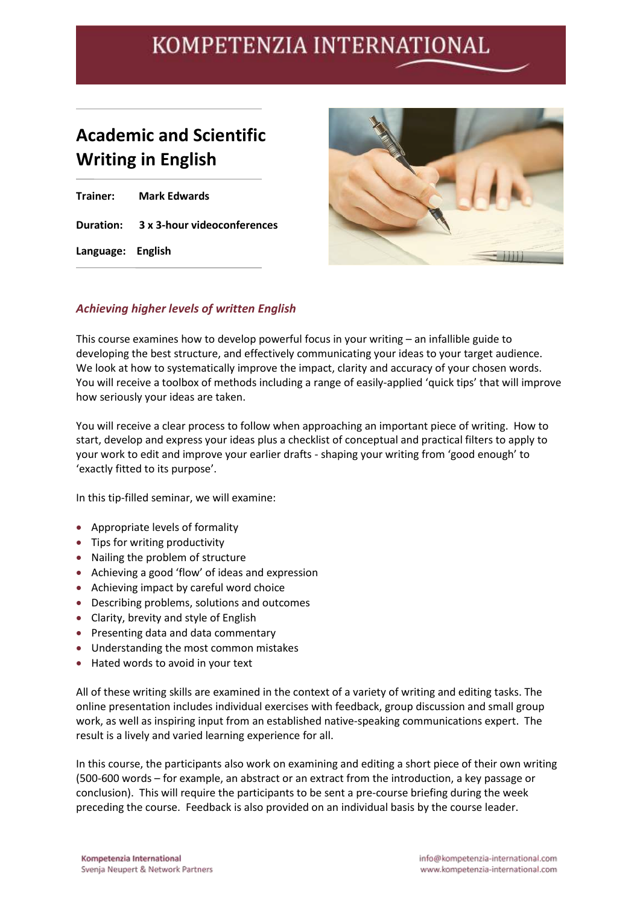## **Academic and Scientific Writing in English**

|                   | <b>Trainer:</b> Mark Edwards          |
|-------------------|---------------------------------------|
|                   | Duration: 3 x 3-hour videoconferences |
| Language: English |                                       |



### *Achieving higher levels of written English*

This course examines how to develop powerful focus in your writing – an infallible guide to developing the best structure, and effectively communicating your ideas to your target audience. We look at how to systematically improve the impact, clarity and accuracy of your chosen words. You will receive a toolbox of methods including a range of easily-applied 'quick tips' that will improve how seriously your ideas are taken.

You will receive a clear process to follow when approaching an important piece of writing. How to start, develop and express your ideas plus a checklist of conceptual and practical filters to apply to your work to edit and improve your earlier drafts - shaping your writing from 'good enough' to 'exactly fitted to its purpose'.

In this tip-filled seminar, we will examine:

- Appropriate levels of formality
- Tips for writing productivity
- Nailing the problem of structure
- Achieving a good 'flow' of ideas and expression
- Achieving impact by careful word choice
- Describing problems, solutions and outcomes
- Clarity, brevity and style of English
- Presenting data and data commentary
- Understanding the most common mistakes
- Hated words to avoid in your text

All of these writing skills are examined in the context of a variety of writing and editing tasks. The online presentation includes individual exercises with feedback, group discussion and small group work, as well as inspiring input from an established native-speaking communications expert. The result is a lively and varied learning experience for all.

In this course, the participants also work on examining and editing a short piece of their own writing (500-600 words – for example, an abstract or an extract from the introduction, a key passage or conclusion). This will require the participants to be sent a pre-course briefing during the week preceding the course. Feedback is also provided on an individual basis by the course leader.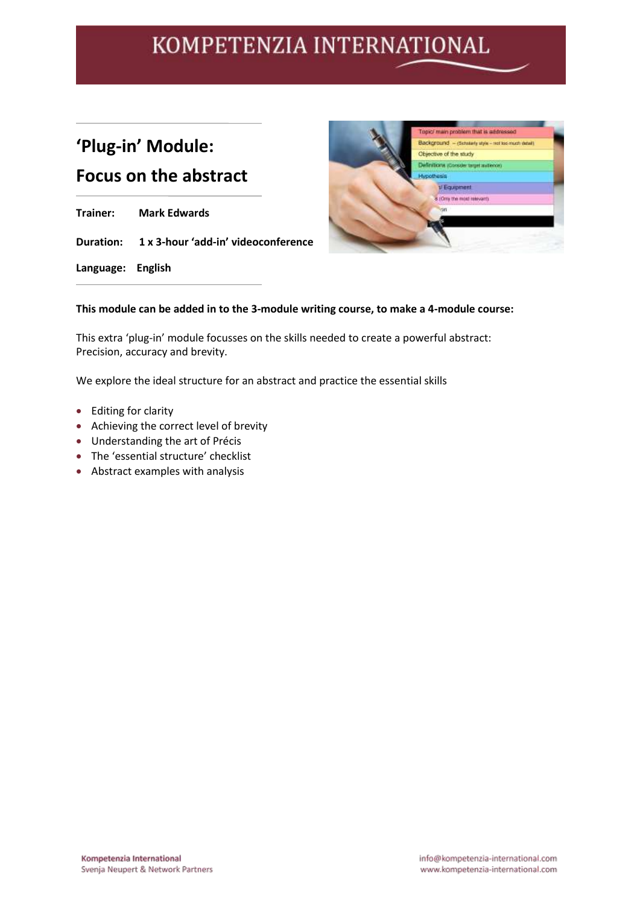## **'Plug-in' Module:**

## **Focus on the abstract**

**Trainer: Mark Edwards Duration: 1 x 3-hour 'add-in' videoconference**

**Language: English**



#### **This module can be added in to the 3-module writing course, to make a 4-module course:**

This extra 'plug-in' module focusses on the skills needed to create a powerful abstract: Precision, accuracy and brevity.

We explore the ideal structure for an abstract and practice the essential skills

- Editing for clarity
- Achieving the correct level of brevity
- Understanding the art of Précis
- The 'essential structure' checklist
- Abstract examples with analysis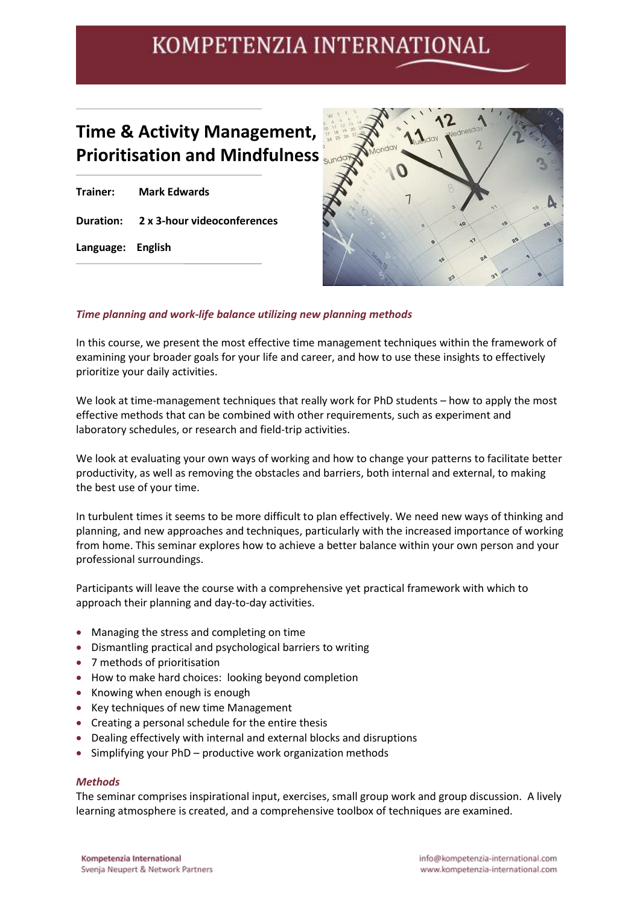## **Time & Activity Management, Prioritisation and Mindfulness**

|                   | Trainer: Mark Edwards                 |
|-------------------|---------------------------------------|
|                   | Duration: 2 x 3-hour videoconferences |
| Language: English |                                       |



#### *Time planning and work-life balance utilizing new planning methods*

In this course, we present the most effective time management techniques within the framework of examining your broader goals for your life and career, and how to use these insights to effectively prioritize your daily activities.

We look at time-management techniques that really work for PhD students – how to apply the most effective methods that can be combined with other requirements, such as experiment and laboratory schedules, or research and field-trip activities.

We look at evaluating your own ways of working and how to change your patterns to facilitate better productivity, as well as removing the obstacles and barriers, both internal and external, to making the best use of your time.

In turbulent times it seems to be more difficult to plan effectively. We need new ways of thinking and planning, and new approaches and techniques, particularly with the increased importance of working from home. This seminar explores how to achieve a better balance within your own person and your professional surroundings.

Participants will leave the course with a comprehensive yet practical framework with which to approach their planning and day-to-day activities.

- Managing the stress and completing on time
- Dismantling practical and psychological barriers to writing
- 7 methods of prioritisation
- How to make hard choices: looking beyond completion
- Knowing when enough is enough
- Key techniques of new time Management
- Creating a personal schedule for the entire thesis
- Dealing effectively with internal and external blocks and disruptions
- Simplifying your PhD productive work organization methods

#### *Methods*

The seminar comprises inspirational input, exercises, small group work and group discussion. A lively learning atmosphere is created, and a comprehensive toolbox of techniques are examined.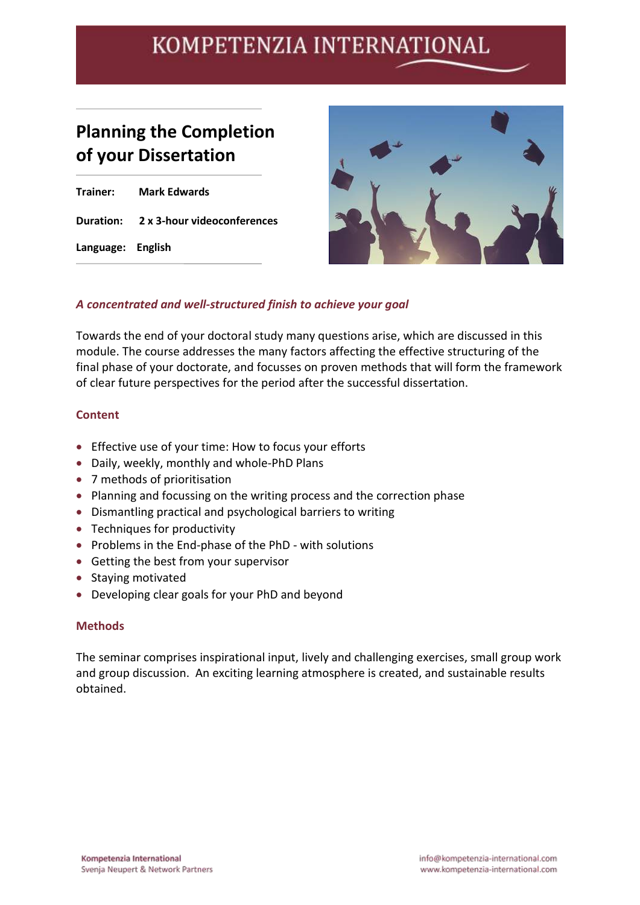## **Planning the Completion of your Dissertation**

**Trainer: Mark Edwards Duration: 2 x 3-hour videoconferences Language: English**



### *A concentrated and well-structured finish to achieve your goal*

Towards the end of your doctoral study many questions arise, which are discussed in this module. The course addresses the many factors affecting the effective structuring of the final phase of your doctorate, and focusses on proven methods that will form the framework of clear future perspectives for the period after the successful dissertation.

#### **Content**

- Effective use of your time: How to focus your efforts
- Daily, weekly, monthly and whole-PhD Plans
- 7 methods of prioritisation
- Planning and focussing on the writing process and the correction phase
- Dismantling practical and psychological barriers to writing
- Techniques for productivity
- Problems in the End-phase of the PhD with solutions
- Getting the best from your supervisor
- Staying motivated
- Developing clear goals for your PhD and beyond

#### **Methods**

The seminar comprises inspirational input, lively and challenging exercises, small group work and group discussion. An exciting learning atmosphere is created, and sustainable results obtained.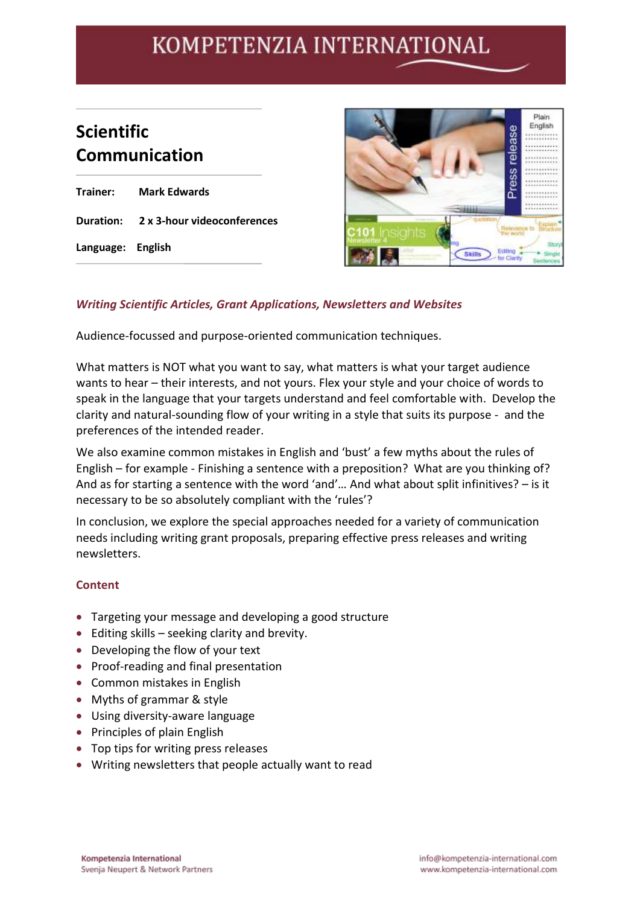## **Scientific Communication**

**Trainer: Mark Edwards Duration: 2 x 3-hour videoconferences Language: English**



### *Writing Scientific Articles, Grant Applications, Newsletters and Websites*

Audience-focussed and purpose-oriented communication techniques.

What matters is NOT what you want to say, what matters is what your target audience wants to hear – their interests, and not yours. Flex your style and your choice of words to speak in the language that your targets understand and feel comfortable with. Develop the clarity and natural-sounding flow of your writing in a style that suits its purpose - and the preferences of the intended reader.

We also examine common mistakes in English and 'bust' a few myths about the rules of English – for example - Finishing a sentence with a preposition? What are you thinking of? And as for starting a sentence with the word 'and'… And what about split infinitives? – is it necessary to be so absolutely compliant with the 'rules'?

In conclusion, we explore the special approaches needed for a variety of communication needs including writing grant proposals, preparing effective press releases and writing newsletters.

### **Content**

- Targeting your message and developing a good structure
- Editing skills seeking clarity and brevity.
- Developing the flow of your text
- Proof-reading and final presentation
- Common mistakes in English
- Myths of grammar & style
- Using diversity-aware language
- Principles of plain English
- Top tips for writing press releases
- Writing newsletters that people actually want to read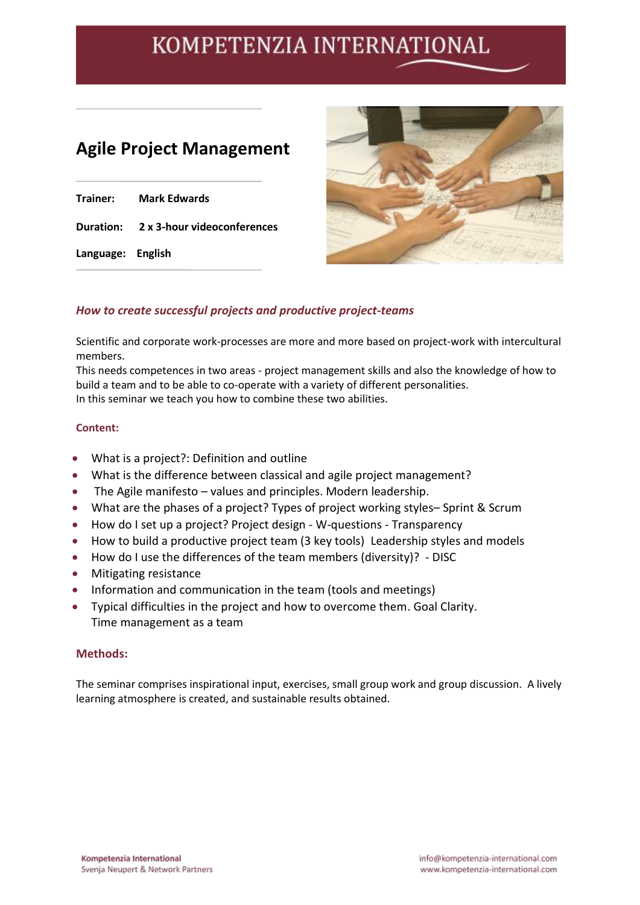## **Agile Project Management**

| Trainer:          | <b>Mark Edwards</b>                   |
|-------------------|---------------------------------------|
|                   | Duration: 2 x 3-hour videoconferences |
| Language: English |                                       |



### *How to create successful projects and productive project-teams*

Scientific and corporate work-processes are more and more based on project-work with intercultural members.

This needs competences in two areas - project management skills and also the knowledge of how to build a team and to be able to co-operate with a variety of different personalities. In this seminar we teach you how to combine these two abilities.

#### **Content:**

- What is a project?: Definition and outline
- What is the difference between classical and agile project management?
- The Agile manifesto values and principles. Modern leadership.
- What are the phases of a project? Types of project working styles– Sprint & Scrum
- How do I set up a project? Project design W-questions Transparency
- How to build a productive project team (3 key tools) Leadership styles and models
- How do I use the differences of the team members (diversity)? DISC
- Mitigating resistance
- Information and communication in the team (tools and meetings)
- Typical difficulties in the project and how to overcome them. Goal Clarity. Time management as a team

#### **Methods:**

The seminar comprises inspirational input, exercises, small group work and group discussion. A lively learning atmosphere is created, and sustainable results obtained.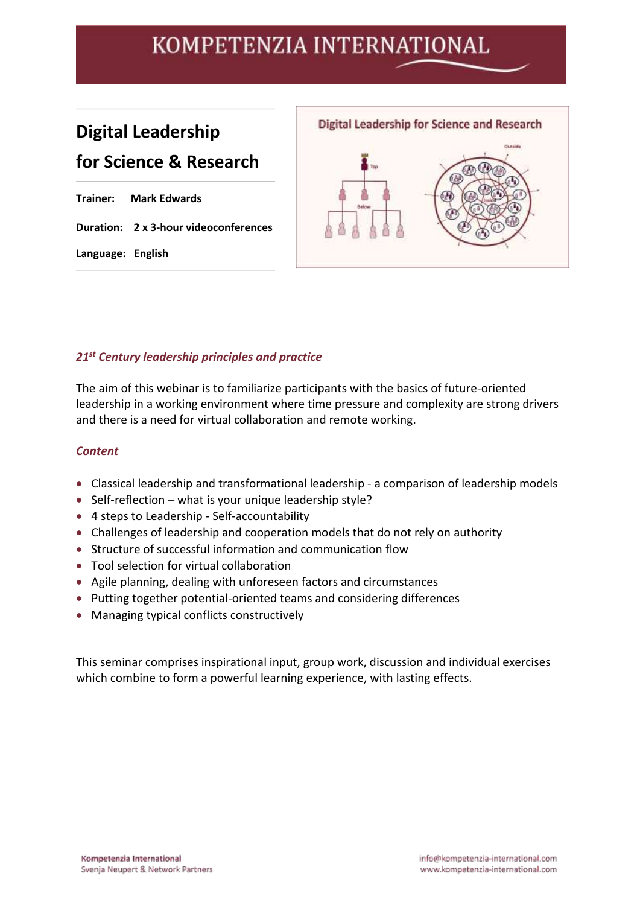## **Digital Leadership for Science & Research**

|                   | <b>Trainer: Mark Edwards</b>          |
|-------------------|---------------------------------------|
|                   | Duration: 2 x 3-hour videoconferences |
| Language: English |                                       |



### *21st Century leadership principles and practice*

The aim of this webinar is to familiarize participants with the basics of future-oriented leadership in a working environment where time pressure and complexity are strong drivers and there is a need for virtual collaboration and remote working.

#### *Content*

- Classical leadership and transformational leadership a comparison of leadership models
- Self-reflection what is your unique leadership style?
- 4 steps to Leadership Self-accountability
- Challenges of leadership and cooperation models that do not rely on authority
- Structure of successful information and communication flow
- Tool selection for virtual collaboration
- Agile planning, dealing with unforeseen factors and circumstances
- Putting together potential-oriented teams and considering differences
- Managing typical conflicts constructively

This seminar comprises inspirational input, group work, discussion and individual exercises which combine to form a powerful learning experience, with lasting effects.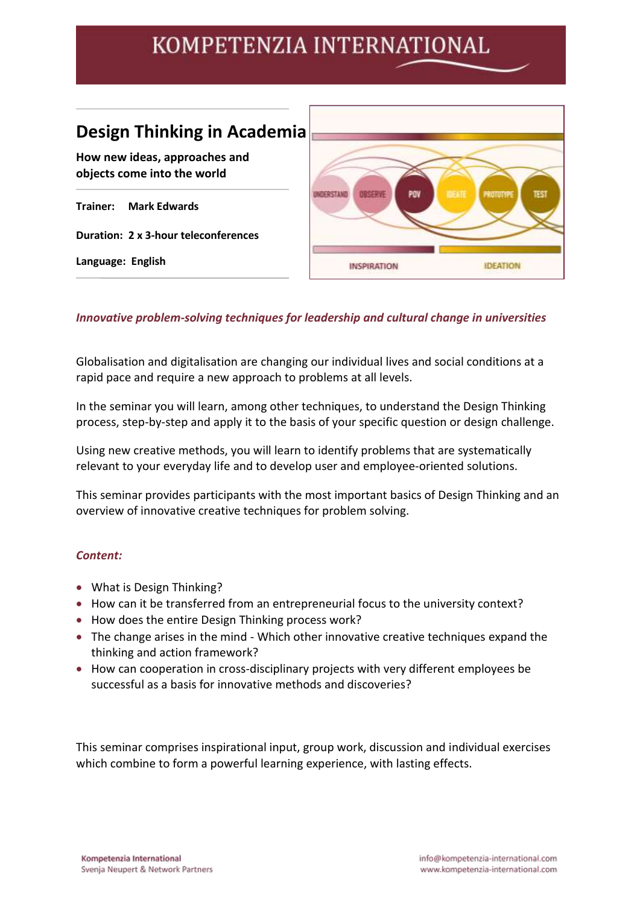## **Design Thinking in Academia**

**How new ideas, approaches and objects come into the world**

**Trainer: Mark Edwards**

**Duration: 2 x 3-hour teleconferences**

**Language: English**



### *Innovative problem-solving techniques for leadership and cultural change in universities*

Globalisation and digitalisation are changing our individual lives and social conditions at a rapid pace and require a new approach to problems at all levels.

In the seminar you will learn, among other techniques, to understand the Design Thinking process, step-by-step and apply it to the basis of your specific question or design challenge.

Using new creative methods, you will learn to identify problems that are systematically relevant to your everyday life and to develop user and employee-oriented solutions.

This seminar provides participants with the most important basics of Design Thinking and an overview of innovative creative techniques for problem solving.

### *Content:*

- What is Design Thinking?
- How can it be transferred from an entrepreneurial focus to the university context?
- How does the entire Design Thinking process work?
- The change arises in the mind Which other innovative creative techniques expand the thinking and action framework?
- How can cooperation in cross-disciplinary projects with very different employees be successful as a basis for innovative methods and discoveries?

This seminar comprises inspirational input, group work, discussion and individual exercises which combine to form a powerful learning experience, with lasting effects.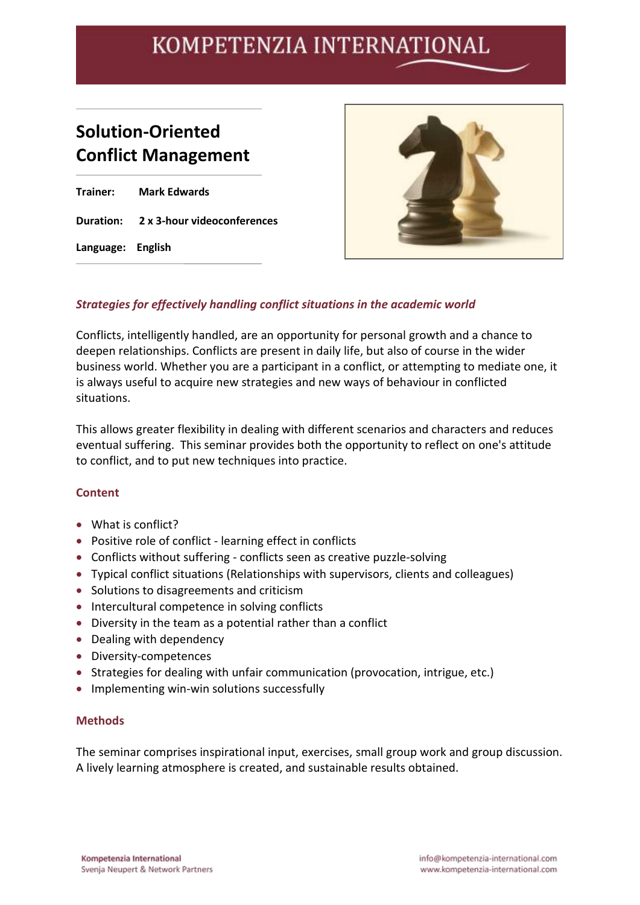## **Solution-Oriented Conflict Management**

**Trainer: Mark Edwards Duration: 2 x 3-hour videoconferences Language: English**



### *Strategies for effectively handling conflict situations in the academic world*

Conflicts, intelligently handled, are an opportunity for personal growth and a chance to deepen relationships. Conflicts are present in daily life, but also of course in the wider business world. Whether you are a participant in a conflict, or attempting to mediate one, it is always useful to acquire new strategies and new ways of behaviour in conflicted situations.

This allows greater flexibility in dealing with different scenarios and characters and reduces eventual suffering. This seminar provides both the opportunity to reflect on one's attitude to conflict, and to put new techniques into practice.

### **Content**

- What is conflict?
- Positive role of conflict learning effect in conflicts
- Conflicts without suffering conflicts seen as creative puzzle-solving
- Typical conflict situations (Relationships with supervisors, clients and colleagues)
- Solutions to disagreements and criticism
- Intercultural competence in solving conflicts
- Diversity in the team as a potential rather than a conflict
- Dealing with dependency
- Diversity-competences
- Strategies for dealing with unfair communication (provocation, intrigue, etc.)
- Implementing win-win solutions successfully

#### **Methods**

The seminar comprises inspirational input, exercises, small group work and group discussion. A lively learning atmosphere is created, and sustainable results obtained.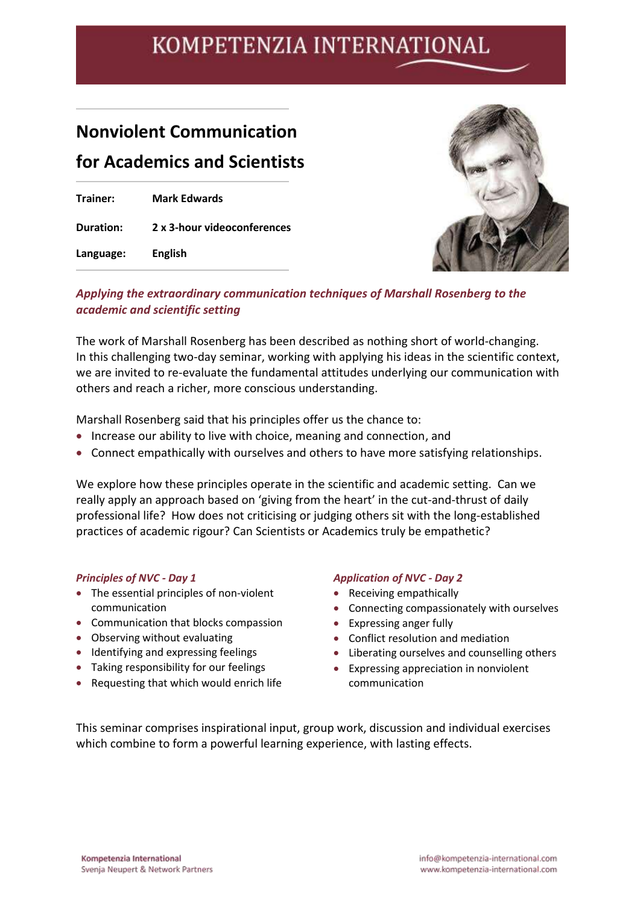## **Nonviolent Communication for Academics and Scientists**

| Trainer:         | <b>Mark Edwards</b>         |
|------------------|-----------------------------|
| <b>Duration:</b> | 2 x 3-hour videoconferences |
| Language:        | <b>English</b>              |



### *Applying the extraordinary communication techniques of Marshall Rosenberg to the academic and scientific setting*

The work of Marshall Rosenberg has been described as nothing short of world-changing. In this challenging two-day seminar, working with applying his ideas in the scientific context, we are invited to re-evaluate the fundamental attitudes underlying our communication with others and reach a richer, more conscious understanding.

Marshall Rosenberg said that his principles offer us the chance to:

- Increase our ability to live with choice, meaning and connection, and
- Connect empathically with ourselves and others to have more satisfying relationships.

We explore how these principles operate in the scientific and academic setting. Can we really apply an approach based on 'giving from the heart' in the cut-and-thrust of daily professional life? How does not criticising or judging others sit with the long-established practices of academic rigour? Can Scientists or Academics truly be empathetic?

#### *Principles of NVC - Day 1*

- The essential principles of non-violent communication
- Communication that blocks compassion
- Observing without evaluating
- Identifying and expressing feelings
- Taking responsibility for our feelings
- Requesting that which would enrich life

#### *Application of NVC - Day 2*

- Receiving empathically
- Connecting compassionately with ourselves
- Expressing anger fully
- Conflict resolution and mediation
- Liberating ourselves and counselling others
- Expressing appreciation in nonviolent communication

This seminar comprises inspirational input, group work, discussion and individual exercises which combine to form a powerful learning experience, with lasting effects.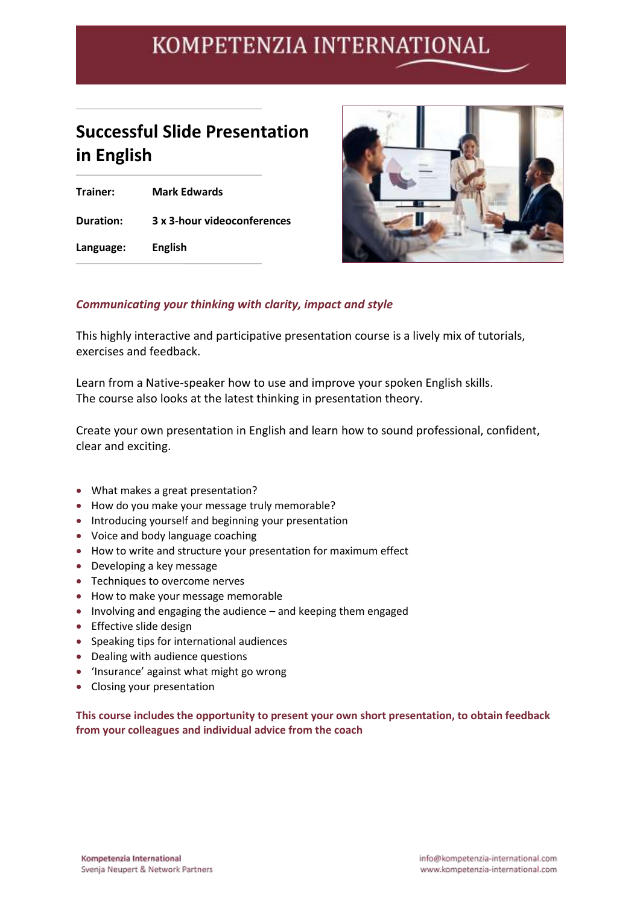## **Successful Slide Presentation in English**

**Trainer: Mark Edwards Duration: 3 x 3-hour videoconferences Language: English**



### *Communicating your thinking with clarity, impact and style*

This highly interactive and participative presentation course is a lively mix of tutorials, exercises and feedback.

Learn from a Native-speaker how to use and improve your spoken English skills. The course also looks at the latest thinking in presentation theory.

Create your own presentation in English and learn how to sound professional, confident, clear and exciting.

- What makes a great presentation?
- How do you make your message truly memorable?
- Introducing yourself and beginning your presentation
- Voice and body language coaching
- How to write and structure your presentation for maximum effect
- Developing a key message
- Techniques to overcome nerves
- How to make your message memorable
- Involving and engaging the audience and keeping them engaged
- Effective slide design
- Speaking tips for international audiences
- Dealing with audience questions
- 'Insurance' against what might go wrong
- Closing your presentation

**This course includes the opportunity to present your own short presentation, to obtain feedback from your colleagues and individual advice from the coach**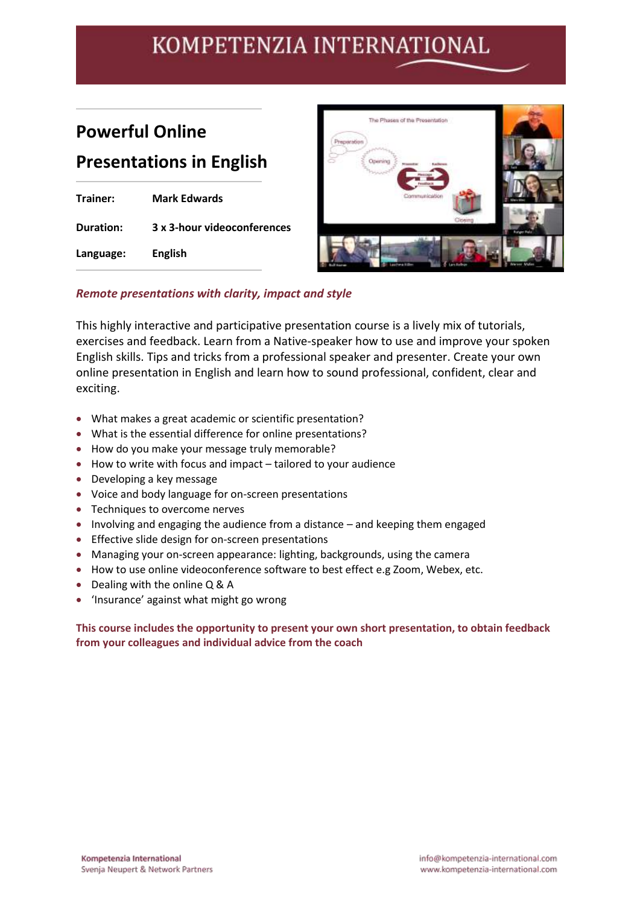## **Powerful Online Presentations in English**

| Trainer:  | <b>Mark Edwards</b>         |
|-----------|-----------------------------|
| Duration: | 3 x 3-hour videoconferences |
| Language: | <b>English</b>              |



### *Remote presentations with clarity, impact and style*

This highly interactive and participative presentation course is a lively mix of tutorials, exercises and feedback. Learn from a Native-speaker how to use and improve your spoken English skills. Tips and tricks from a professional speaker and presenter. Create your own online presentation in English and learn how to sound professional, confident, clear and exciting.

- What makes a great academic or scientific presentation?
- What is the essential difference for online presentations?
- How do you make your message truly memorable?
- How to write with focus and impact tailored to your audience
- Developing a key message
- Voice and body language for on-screen presentations
- Techniques to overcome nerves
- Involving and engaging the audience from a distance and keeping them engaged
- Effective slide design for on-screen presentations
- Managing your on-screen appearance: lighting, backgrounds, using the camera
- How to use online videoconference software to best effect e.g Zoom, Webex, etc.
- Dealing with the online Q & A
- 'Insurance' against what might go wrong

#### **This course includes the opportunity to present your own short presentation, to obtain feedback from your colleagues and individual advice from the coach**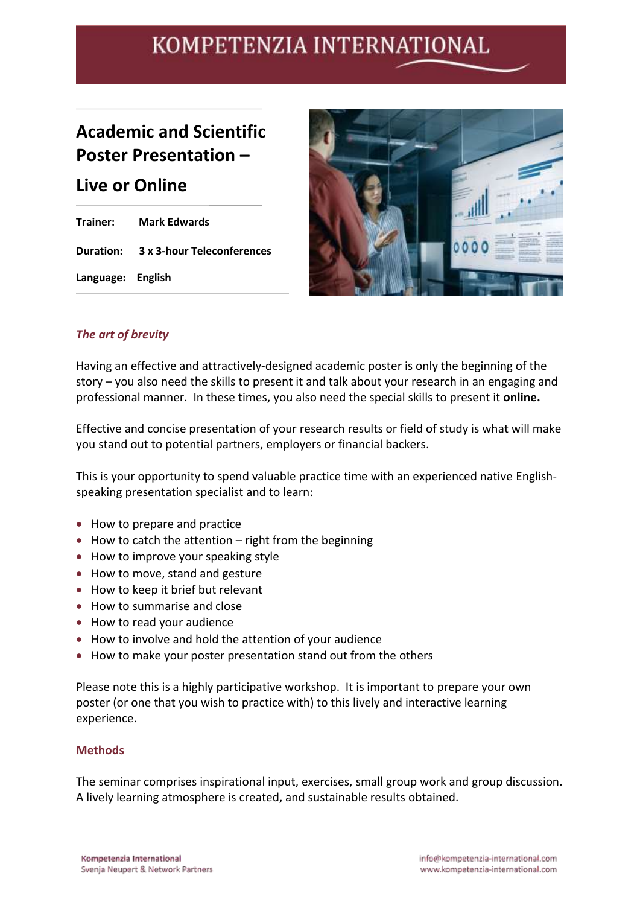## **Academic and Scientific Poster Presentation –**

### **Live or Online**

**Trainer: Mark Edwards Duration: 3 x 3-hour Teleconferences Language: English**



### *The art of brevity*

Having an effective and attractively-designed academic poster is only the beginning of the story – you also need the skills to present it and talk about your research in an engaging and professional manner. In these times, you also need the special skills to present it **online.**

Effective and concise presentation of your research results or field of study is what will make you stand out to potential partners, employers or financial backers.

This is your opportunity to spend valuable practice time with an experienced native Englishspeaking presentation specialist and to learn:

- How to prepare and practice
- How to catch the attention right from the beginning
- How to improve your speaking style
- How to move, stand and gesture
- How to keep it brief but relevant
- How to summarise and close
- How to read your audience
- How to involve and hold the attention of your audience
- How to make your poster presentation stand out from the others

Please note this is a highly participative workshop. It is important to prepare your own poster (or one that you wish to practice with) to this lively and interactive learning experience.

#### **Methods**

The seminar comprises inspirational input, exercises, small group work and group discussion. A lively learning atmosphere is created, and sustainable results obtained.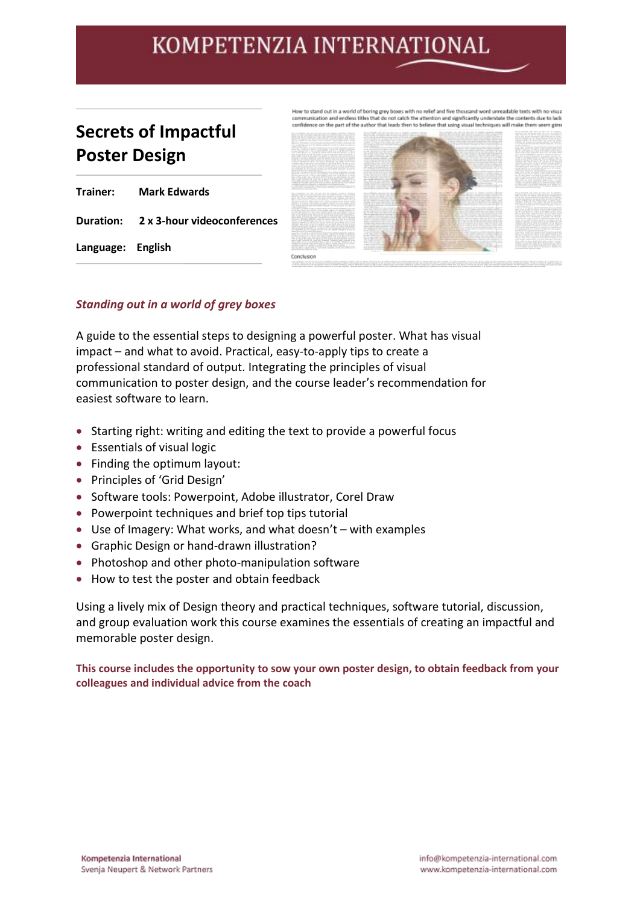## **Secrets of Impactful Poster Design**

|                   | <b>Trainer:</b> Mark Edwards          |
|-------------------|---------------------------------------|
|                   | Duration: 2 x 3-hour videoconferences |
| Language: English |                                       |



#### *Standing out in a world of grey boxes*

A guide to the essential steps to designing a powerful poster. What has visual impact – and what to avoid. Practical, easy-to-apply tips to create a professional standard of output. Integrating the principles of visual communication to poster design, and the course leader's recommendation for easiest software to learn.

- Starting right: writing and editing the text to provide a powerful focus
- Essentials of visual logic
- Finding the optimum layout:
- Principles of 'Grid Design'
- Software tools: Powerpoint, Adobe illustrator, Corel Draw
- Powerpoint techniques and brief top tips tutorial
- Use of Imagery: What works, and what doesn't with examples
- Graphic Design or hand-drawn illustration?
- Photoshop and other photo-manipulation software
- How to test the poster and obtain feedback

Using a lively mix of Design theory and practical techniques, software tutorial, discussion, and group evaluation work this course examines the essentials of creating an impactful and memorable poster design.

**This course includes the opportunity to sow your own poster design, to obtain feedback from your colleagues and individual advice from the coach**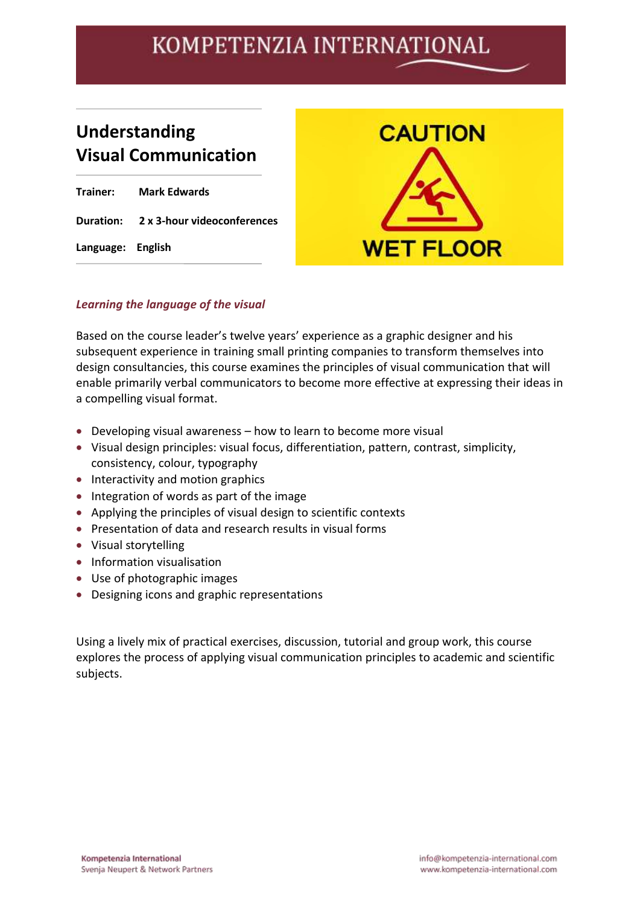## **Understanding Visual Communication**

| Trainer:          | <b>Mark Edwards</b>                   |
|-------------------|---------------------------------------|
|                   | Duration: 2 x 3-hour videoconferences |
| Language: English |                                       |



### *Learning the language of the visual*

Based on the course leader's twelve years' experience as a graphic designer and his subsequent experience in training small printing companies to transform themselves into design consultancies, this course examines the principles of visual communication that will enable primarily verbal communicators to become more effective at expressing their ideas in a compelling visual format.

- Developing visual awareness how to learn to become more visual
- Visual design principles: visual focus, differentiation, pattern, contrast, simplicity, consistency, colour, typography
- Interactivity and motion graphics
- Integration of words as part of the image
- Applying the principles of visual design to scientific contexts
- Presentation of data and research results in visual forms
- Visual storytelling
- Information visualisation
- Use of photographic images
- Designing icons and graphic representations

Using a lively mix of practical exercises, discussion, tutorial and group work, this course explores the process of applying visual communication principles to academic and scientific subjects.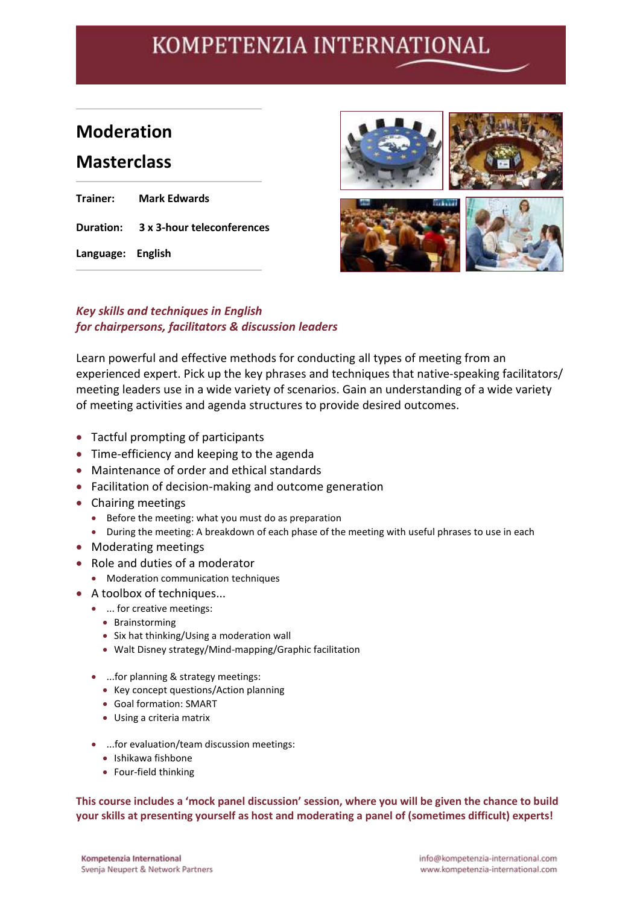## **Moderation**

### **Masterclass**

| Trainer:          | <b>Mark Edwards</b>                  |
|-------------------|--------------------------------------|
|                   | Duration: 3 x 3-hour teleconferences |
| Language: English |                                      |



### *Key skills and techniques in English for chairpersons, facilitators & discussion leaders*

Learn powerful and effective methods for conducting all types of meeting from an experienced expert. Pick up the key phrases and techniques that native-speaking facilitators/ meeting leaders use in a wide variety of scenarios. Gain an understanding of a wide variety of meeting activities and agenda structures to provide desired outcomes.

- Tactful prompting of participants
- Time-efficiency and keeping to the agenda
- Maintenance of order and ethical standards
- Facilitation of decision-making and outcome generation
- Chairing meetings
	- Before the meeting: what you must do as preparation
	- During the meeting: A breakdown of each phase of the meeting with useful phrases to use in each
- Moderating meetings
- Role and duties of a moderator
	- Moderation communication techniques
- A toolbox of techniques...
	- ... for creative meetings:
		- Brainstorming
		- Six hat thinking/Using a moderation wall
		- Walt Disney strategy/Mind-mapping/Graphic facilitation
	- ...for planning & strategy meetings:
		- Key concept questions/Action planning
		- Goal formation: SMART
		- Using a criteria matrix
	- ...for evaluation/team discussion meetings:
		- Ishikawa fishbone
		- Four-field thinking

**This course includes a 'mock panel discussion' session, where you will be given the chance to build your skills at presenting yourself as host and moderating a panel of (sometimes difficult) experts!**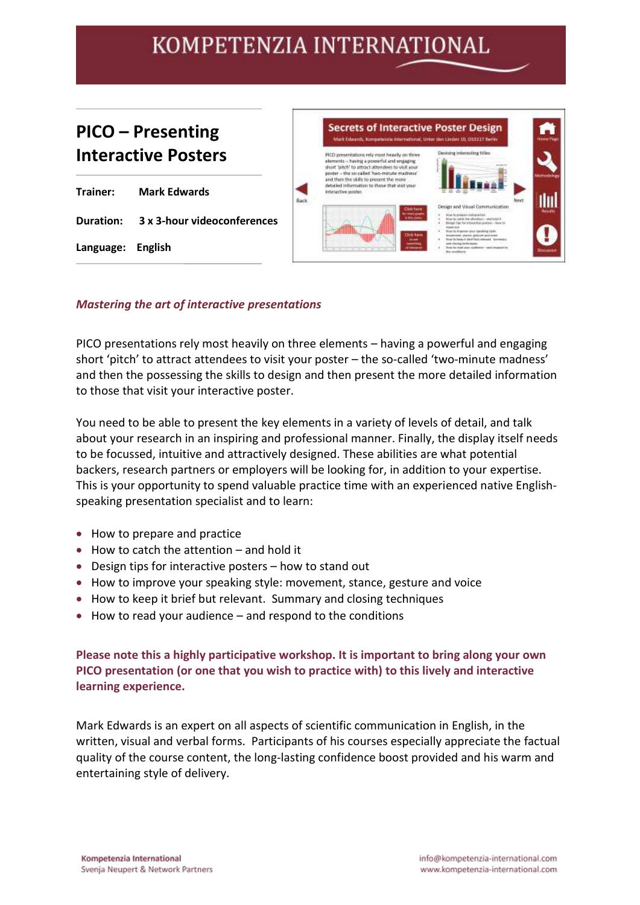### **PICO – Presenting Interactive Posters**

|                   | <b>Trainer:</b> Mark Edwards          |
|-------------------|---------------------------------------|
|                   | Duration: 3 x 3-hour videoconferences |
| Language: English |                                       |



#### *Mastering the art of interactive presentations*

PICO presentations rely most heavily on three elements – having a powerful and engaging short 'pitch' to attract attendees to visit your poster – the so-called 'two-minute madness' and then the possessing the skills to design and then present the more detailed information to those that visit your interactive poster.

You need to be able to present the key elements in a variety of levels of detail, and talk about your research in an inspiring and professional manner. Finally, the display itself needs to be focussed, intuitive and attractively designed. These abilities are what potential backers, research partners or employers will be looking for, in addition to your expertise. This is your opportunity to spend valuable practice time with an experienced native Englishspeaking presentation specialist and to learn:

- How to prepare and practice
- How to catch the attention and hold it
- Design tips for interactive posters how to stand out
- How to improve your speaking style: movement, stance, gesture and voice
- How to keep it brief but relevant. Summary and closing techniques
- How to read your audience and respond to the conditions

**Please note this a highly participative workshop. It is important to bring along your own PICO presentation (or one that you wish to practice with) to this lively and interactive learning experience.**

Mark Edwards is an expert on all aspects of scientific communication in English, in the written, visual and verbal forms. Participants of his courses especially appreciate the factual quality of the course content, the long-lasting confidence boost provided and his warm and entertaining style of delivery.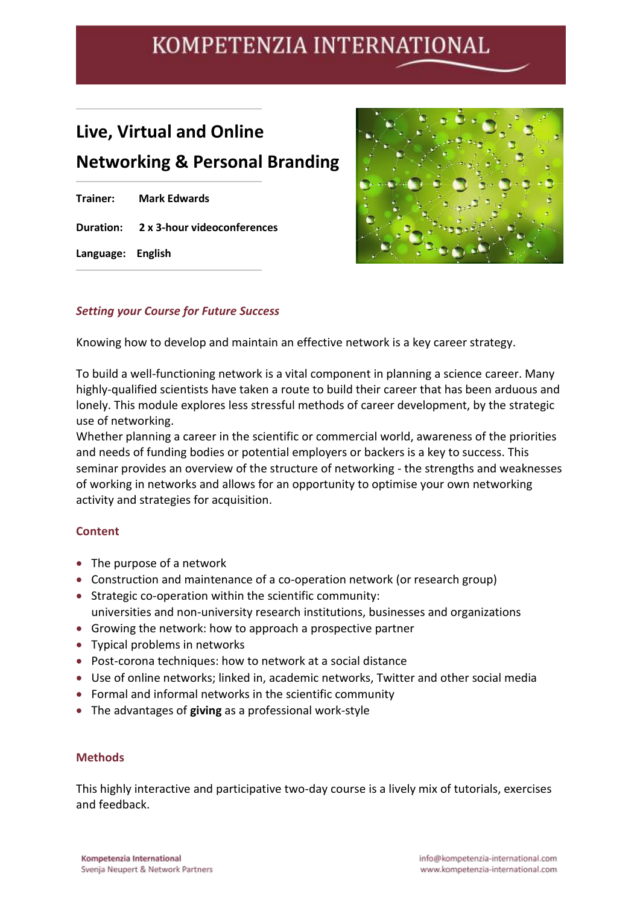## **Live, Virtual and Online Networking & Personal Branding**

|                   | <b>Trainer:</b> Mark Edwards          |
|-------------------|---------------------------------------|
|                   | Duration: 2 x 3-hour videoconferences |
| Language: English |                                       |



### *Setting your Course for Future Success*

Knowing how to develop and maintain an effective network is a key career strategy.

To build a well-functioning network is a vital component in planning a science career. Many highly-qualified scientists have taken a route to build their career that has been arduous and lonely. This module explores less stressful methods of career development, by the strategic use of networking.

Whether planning a career in the scientific or commercial world, awareness of the priorities and needs of funding bodies or potential employers or backers is a key to success. This seminar provides an overview of the structure of networking - the strengths and weaknesses of working in networks and allows for an opportunity to optimise your own networking activity and strategies for acquisition.

### **Content**

- The purpose of a network
- Construction and maintenance of a co-operation network (or research group)
- Strategic co-operation within the scientific community: universities and non-university research institutions, businesses and organizations
- Growing the network: how to approach a prospective partner
- Typical problems in networks
- Post-corona techniques: how to network at a social distance
- Use of online networks; linked in, academic networks, Twitter and other social media
- Formal and informal networks in the scientific community
- The advantages of **giving** as a professional work-style

#### **Methods**

This highly interactive and participative two-day course is a lively mix of tutorials, exercises and feedback.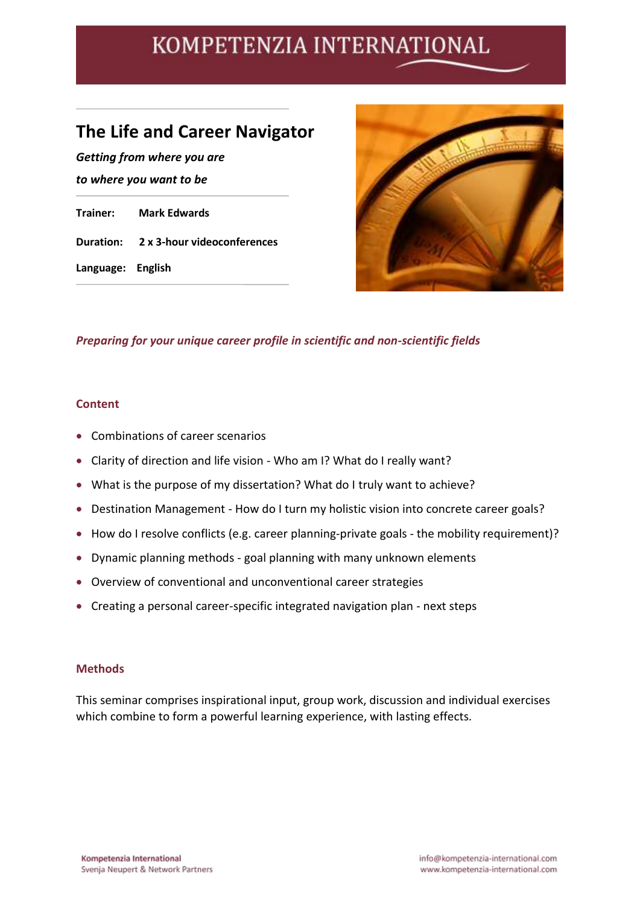## **The Life and Career Navigator**

*Getting from where you are to where you want to be* **Trainer: Mark Edwards Duration: 2 x 3-hour videoconferences Language: English**



### *Preparing for your unique career profile in scientific and non-scientific fields*

#### **Content**

- Combinations of career scenarios
- Clarity of direction and life vision Who am I? What do I really want?
- What is the purpose of my dissertation? What do I truly want to achieve?
- Destination Management How do I turn my holistic vision into concrete career goals?
- How do I resolve conflicts (e.g. career planning-private goals the mobility requirement)?
- Dynamic planning methods goal planning with many unknown elements
- Overview of conventional and unconventional career strategies
- Creating a personal career-specific integrated navigation plan next steps

#### **Methods**

This seminar comprises inspirational input, group work, discussion and individual exercises which combine to form a powerful learning experience, with lasting effects.